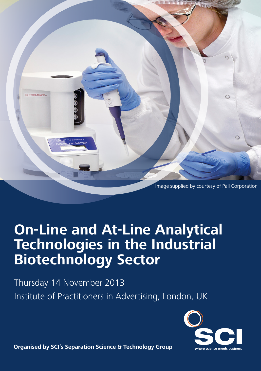

## **On-Line and At-Line Analytical The Cause of Cause of Caustical Miotech Technologies in the Industrial Biotechnology Sector**

y<br>Institute of Drestition are in Thursday 14 November 2013 Institute of Practitioners in Advertising, London, UK



**Organised by SCI's Separation Science & Technology Group**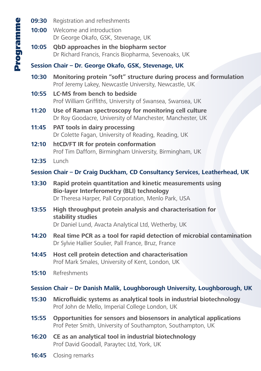- **09:30** Registration and refreshments
- **10:00** Welcome and introduction Dr George Okafo, GSK, Stevenage, UK
- **10:05 QbD approaches in the biopharm sector** Dr Richard Francis, Francis Biopharma, Sevenoaks, UK

### **Session Chair – Dr. George Okafo, GSK, Stevenage, UK**

- **10:30 Monitoring protein "soft" structure during process and formulation** Prof Jeremy Lakey, Newcastle University, Newcastle, UK
- **10:55 LC-MS from bench to bedside** Prof William Griffiths, University of Swansea, Swansea, UK
- **11:20 Use of Raman spectroscopy for monitoring cell culture** Dr Roy Goodacre, University of Manchester, Manchester, UK
- **11:45 PAT tools in dairy processing** Dr Colette Fagan, University of Reading, Reading, UK
- **12:10 htCD/FT IR for protein conformation** Prof Tim Dafforn, Birmingham University, Birmingham, UK
- **12:35** Lunch

### **Session Chair – Dr Craig Duckham, CD Consultancy Services, Leatherhead, UK**

- **13:30 Rapid protein quantitation and kinetic measurements using Bio-layer Interferometry (BLI) technology** Dr Theresa Harper, Pall Corporation, Menlo Park, USA
- **13:55 High throughput protein analysis and characterisation for stability studies** Dr Daniel Lund, Avacta Analytical Ltd, Wetherby, UK
- **14:20 Real time PCR as a tool for rapid detection of microbial contamination** Dr Sylvie Hallier Soulier, Pall France, Bruz, France
- **14:45 Host cell protein detection and characterisation** Prof Mark Smales, University of Kent, London, UK
- **15:10** Refreshments

### **Session Chair – Dr Danish Malik, Loughborough University, Loughborough, UK**

- **15:30 Microfluidic systems as analytical tools in industrial biotechnology** Prof John de Mello, Imperial College London, UK
- **15:55 Opportunities for sensors and biosensors in analytical applications** Prof Peter Smith, University of Southampton, Southampton, UK
- **16:20 CE as an analytical tool in industrial biotechnology** Prof David Goodall, Paraytec Ltd, York, UK
- **16:45** Closing remarks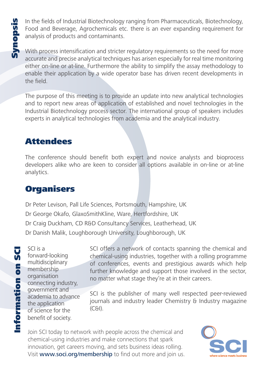In the fields of Industrial Biotechnology ranging from Pharmaceuticals, Biotechnology,<br>Food and Beverage, Agrochemicals etc. there is an ever expanding requirement for<br>analysis of products and contaminants.<br>With process in Food and Beverage, Agrochemicals etc. there is an ever expanding requirement for analysis of products and contaminants.

With process intensification and stricter regulatory requirements so the need for more accurate and precise analytical techniques has arisen especially for real time monitoring either on-line or at-line. Furthermore the ability to simplify the assay methodology to enable their application by a wide operator base has driven recent developments in the field.

The purpose of this meeting is to provide an update into new analytical technologies and to report new areas of application of established and novel technologies in the Industrial Biotechnology process sector. The international group of speakers includes experts in analytical technologies from academia and the analytical industry.

# Attendees

The conference should benefit both expert and novice analysts and bioprocess developers alike who are keen to consider all options available in on-line or at-line analytics.

## **Organisers**

Dr Peter Levison, Pall Life Sciences, Portsmouth, Hampshire, UK Dr George Okafo, GlaxoSmithKline, Ware, Hertfordshire, UK Dr Craig Duckham, CD R&D Consultancy Services, Leatherhead, UK Dr Danish Malik, Loughborough University, Loughborough, UK

SCI is a forward-looking multidisciplinary membership organisation connecting industry, government and academia to advance the application of science for the benefit of society.

SCI offers a network of contacts spanning the chemical and chemical-using industries, together with a rolling programme of conferences, events and prestigious awards which help further knowledge and support those involved in the sector, no matter what stage they're at in their careers.

SCI is the publisher of many well respected peer-reviewed journals and industry leader Chemistry & Industry magazine  $(C<sub>6</sub>]$ ).

Join SCI today to network with people across the chemical and chemical-using industries and make connections that spark innovation, get careers moving, and sets business ideas rolling. Visit www.soci.org/membership to find out more and join us.